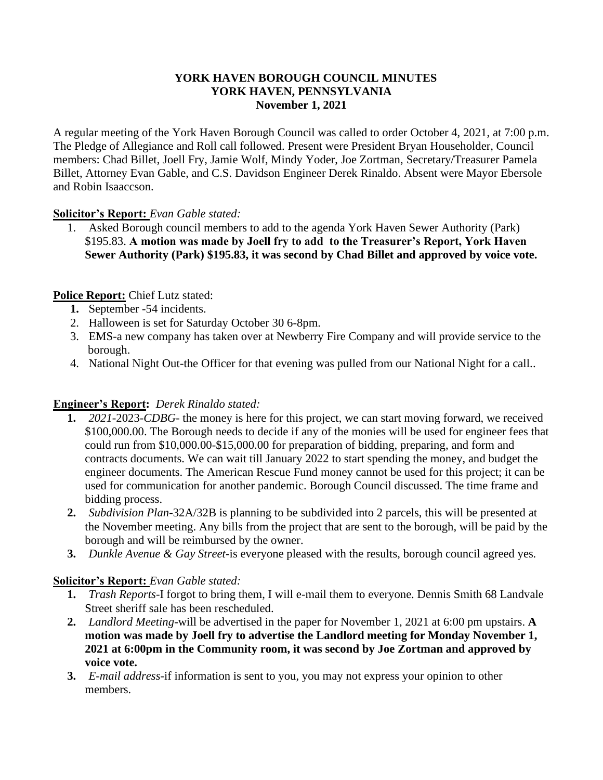#### **YORK HAVEN BOROUGH COUNCIL MINUTES YORK HAVEN, PENNSYLVANIA November 1, 2021**

A regular meeting of the York Haven Borough Council was called to order October 4, 2021, at 7:00 p.m. The Pledge of Allegiance and Roll call followed. Present were President Bryan Householder, Council members: Chad Billet, Joell Fry, Jamie Wolf, Mindy Yoder, Joe Zortman, Secretary/Treasurer Pamela Billet, Attorney Evan Gable, and C.S. Davidson Engineer Derek Rinaldo. Absent were Mayor Ebersole and Robin Isaaccson.

### **Solicitor's Report:** *Evan Gable stated:*

1. Asked Borough council members to add to the agenda York Haven Sewer Authority (Park) \$195.83. **A motion was made by Joell fry to add to the Treasurer's Report, York Haven Sewer Authority (Park) \$195.83, it was second by Chad Billet and approved by voice vote.**

# **Police Report:** Chief Lutz stated:

- **1.** September -54 incidents.
- 2. Halloween is set for Saturday October 30 6-8pm.
- 3. EMS-a new company has taken over at Newberry Fire Company and will provide service to the borough.
- 4. National Night Out-the Officer for that evening was pulled from our National Night for a call..

# **Engineer's Report:** *Derek Rinaldo stated:*

- **1.** *2021-*2023-*CDBG-* the money is here for this project, we can start moving forward, we received \$100,000.00. The Borough needs to decide if any of the monies will be used for engineer fees that could run from \$10,000.00-\$15,000.00 for preparation of bidding, preparing, and form and contracts documents. We can wait till January 2022 to start spending the money, and budget the engineer documents. The American Rescue Fund money cannot be used for this project; it can be used for communication for another pandemic. Borough Council discussed. The time frame and bidding process.
- **2.** *Subdivision Plan-*32A/32B is planning to be subdivided into 2 parcels, this will be presented at the November meeting. Any bills from the project that are sent to the borough, will be paid by the borough and will be reimbursed by the owner.
- **3.** *Dunkle Avenue & Gay Street-*is everyone pleased with the results, borough council agreed yes*.*

### **Solicitor's Report:** *Evan Gable stated:*

- **1.** *Trash Reports-*I forgot to bring them, I will e-mail them to everyone. Dennis Smith 68 Landvale Street sheriff sale has been rescheduled.
- **2.** *Landlord Meeting-*will be advertised in the paper for November 1, 2021 at 6:00 pm upstairs. **A motion was made by Joell fry to advertise the Landlord meeting for Monday November 1, 2021 at 6:00pm in the Community room, it was second by Joe Zortman and approved by voice vote.**
- **3.** *E-mail address-*if information is sent to you, you may not express your opinion to other members.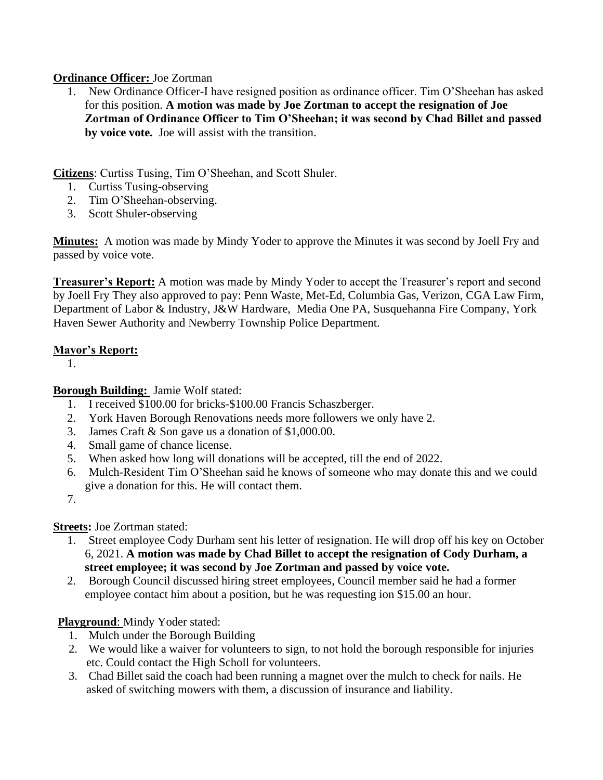### **Ordinance Officer:** Joe Zortman

1. New Ordinance Officer-I have resigned position as ordinance officer. Tim O'Sheehan has asked for this position. **A motion was made by Joe Zortman to accept the resignation of Joe Zortman of Ordinance Officer to Tim O'Sheehan; it was second by Chad Billet and passed by voice vote.** Joe will assist with the transition.

**Citizens**: Curtiss Tusing, Tim O'Sheehan, and Scott Shuler.

- 1. Curtiss Tusing-observing
- 2. Tim O'Sheehan-observing.
- 3. Scott Shuler-observing

**Minutes:** A motion was made by Mindy Yoder to approve the Minutes it was second by Joell Fry and passed by voice vote.

**Treasurer's Report:** A motion was made by Mindy Yoder to accept the Treasurer's report and second by Joell Fry They also approved to pay: Penn Waste, Met-Ed, Columbia Gas, Verizon, CGA Law Firm, Department of Labor & Industry, J&W Hardware, Media One PA, Susquehanna Fire Company, York Haven Sewer Authority and Newberry Township Police Department.

## **Mayor's Report:**

1.

**Borough Building:** Jamie Wolf stated:

- 1. I received \$100.00 for bricks-\$100.00 Francis Schaszberger.
- 2. York Haven Borough Renovations needs more followers we only have 2.
- 3. James Craft & Son gave us a donation of \$1,000.00.
- 4. Small game of chance license.
- 5. When asked how long will donations will be accepted, till the end of 2022.
- 6. Mulch-Resident Tim O'Sheehan said he knows of someone who may donate this and we could give a donation for this. He will contact them.
- 7.

### **Streets:** Joe Zortman stated:

- 1. Street employee Cody Durham sent his letter of resignation. He will drop off his key on October 6, 2021. **A motion was made by Chad Billet to accept the resignation of Cody Durham, a street employee; it was second by Joe Zortman and passed by voice vote.**
- 2. Borough Council discussed hiring street employees, Council member said he had a former employee contact him about a position, but he was requesting ion \$15.00 an hour.

# **Playground**: Mindy Yoder stated:

- 1. Mulch under the Borough Building
- 2. We would like a waiver for volunteers to sign, to not hold the borough responsible for injuries etc. Could contact the High Scholl for volunteers.
- 3. Chad Billet said the coach had been running a magnet over the mulch to check for nails. He asked of switching mowers with them, a discussion of insurance and liability.